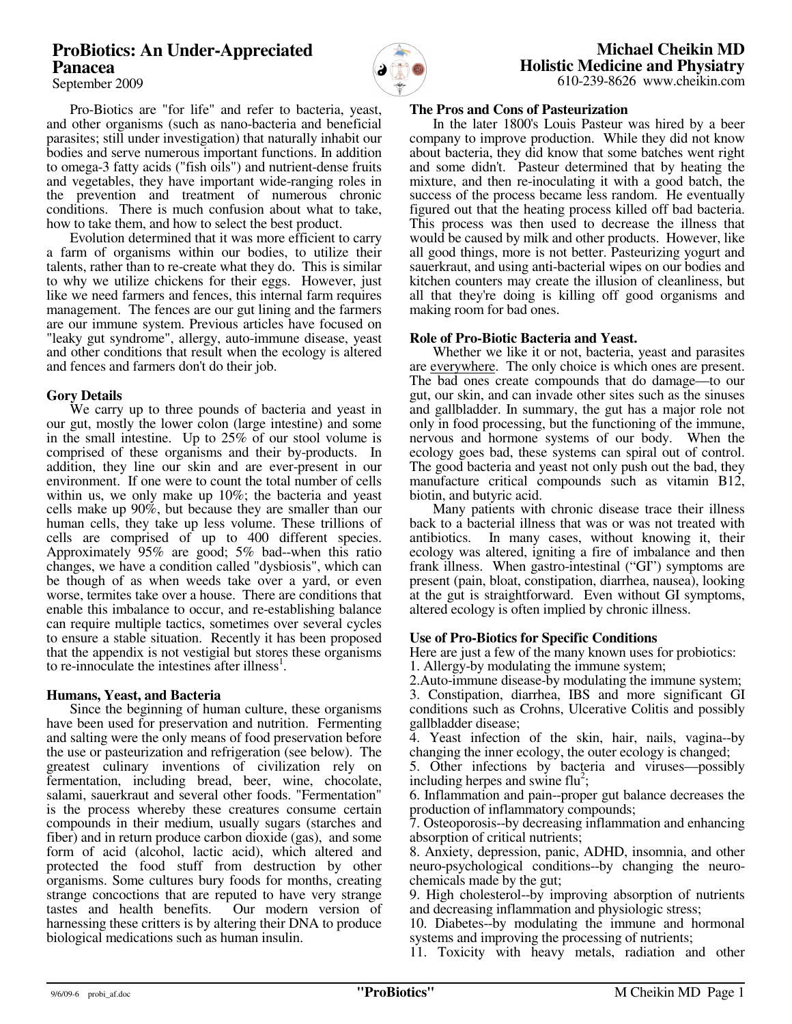# **ProBiotics: An Under-Appreciated Panacea**



 Pro-Biotics are "for life" and refer to bacteria, yeast, and other organisms (such as nano-bacteria and beneficial parasites; still under investigation) that naturally inhabit our bodies and serve numerous important functions. In addition to omega-3 fatty acids ("fish oils") and nutrient-dense fruits and vegetables, they have important wide-ranging roles in the prevention and treatment of numerous chronic conditions. There is much confusion about what to take, how to take them, and how to select the best product.

 Evolution determined that it was more efficient to carry a farm of organisms within our bodies, to utilize their talents, rather than to re-create what they do. This is similar to why we utilize chickens for their eggs. However, just like we need farmers and fences, this internal farm requires management. The fences are our gut lining and the farmers are our immune system. Previous articles have focused on "leaky gut syndrome", allergy, auto-immune disease, yeast and other conditions that result when the ecology is altered and fences and farmers don't do their job.

#### **Gory Details**

 We carry up to three pounds of bacteria and yeast in our gut, mostly the lower colon (large intestine) and some in the small intestine. Up to 25% of our stool volume is comprised of these organisms and their by-products. In addition, they line our skin and are ever-present in our environment. If one were to count the total number of cells within us, we only make up 10%; the bacteria and yeast cells make up 90%, but because they are smaller than our human cells, they take up less volume. These trillions of cells are comprised of up to 400 different species. Approximately 95% are good; 5% bad--when this ratio changes, we have a condition called "dysbiosis", which can be though of as when weeds take over a yard, or even worse, termites take over a house. There are conditions that enable this imbalance to occur, and re-establishing balance can require multiple tactics, sometimes over several cycles to ensure a stable situation. Recently it has been proposed that the appendix is not vestigial but stores these organisms to re-innoculate the intestines after illness<sup>1</sup>.

#### **Humans, Yeast, and Bacteria**

 Since the beginning of human culture, these organisms have been used for preservation and nutrition. Fermenting and salting were the only means of food preservation before the use or pasteurization and refrigeration (see below). The greatest culinary inventions of civilization rely on fermentation, including bread, beer, wine, chocolate, salami, sauerkraut and several other foods. "Fermentation" is the process whereby these creatures consume certain compounds in their medium, usually sugars (starches and fiber) and in return produce carbon dioxide (gas), and some form of acid (alcohol, lactic acid), which altered and protected the food stuff from destruction by other organisms. Some cultures bury foods for months, creating strange concoctions that are reputed to have very strange tastes and health benefits. Our modern version of tastes and health benefits. harnessing these critters is by altering their DNA to produce biological medications such as human insulin.

 **Michael Cheikin MD Holistic Medicine and Physiatry** 610-239-8626 www.cheikin.com

### **The Pros and Cons of Pasteurization**

 In the later 1800's Louis Pasteur was hired by a beer company to improve production. While they did not know about bacteria, they did know that some batches went right and some didn't. Pasteur determined that by heating the mixture, and then re-inoculating it with a good batch, the success of the process became less random. He eventually figured out that the heating process killed off bad bacteria. This process was then used to decrease the illness that would be caused by milk and other products. However, like all good things, more is not better. Pasteurizing yogurt and sauerkraut, and using anti-bacterial wipes on our bodies and kitchen counters may create the illusion of cleanliness, but all that they're doing is killing off good organisms and making room for bad ones.

#### **Role of Pro-Biotic Bacteria and Yeast.**

 Whether we like it or not, bacteria, yeast and parasites are everywhere. The only choice is which ones are present. The bad ones create compounds that do damage—to our gut, our skin, and can invade other sites such as the sinuses and gallbladder. In summary, the gut has a major role not only in food processing, but the functioning of the immune, nervous and hormone systems of our body. When the ecology goes bad, these systems can spiral out of control. The good bacteria and yeast not only push out the bad, they manufacture critical compounds such as vitamin B12, biotin, and butyric acid.

 Many patients with chronic disease trace their illness back to a bacterial illness that was or was not treated with antibiotics. In many cases, without knowing it, their ecology was altered, igniting a fire of imbalance and then frank illness. When gastro-intestinal ("GI") symptoms are present (pain, bloat, constipation, diarrhea, nausea), looking at the gut is straightforward. Even without GI symptoms, altered ecology is often implied by chronic illness.

#### **Use of Pro-Biotics for Specific Conditions**

Here are just a few of the many known uses for probiotics:

1. Allergy-by modulating the immune system; 2.Auto-immune disease-by modulating the immune system;

3. Constipation, diarrhea, IBS and more significant GI conditions such as Crohns, Ulcerative Colitis and possibly gallbladder disease;

4. Yeast infection of the skin, hair, nails, vagina--by changing the inner ecology, the outer ecology is changed;

5. Other infections by bacteria and viruses—possibly including herpes and swine  $flu^2$ ;

6. Inflammation and pain--proper gut balance decreases the production of inflammatory compounds;

7. Osteoporosis--by decreasing inflammation and enhancing absorption of critical nutrients;

8. Anxiety, depression, panic, ADHD, insomnia, and other neuro-psychological conditions--by changing the neurochemicals made by the gut;

9. High cholesterol--by improving absorption of nutrients and decreasing inflammation and physiologic stress;

10. Diabetes--by modulating the immune and hormonal systems and improving the processing of nutrients;

11. Toxicity with heavy metals, radiation and other